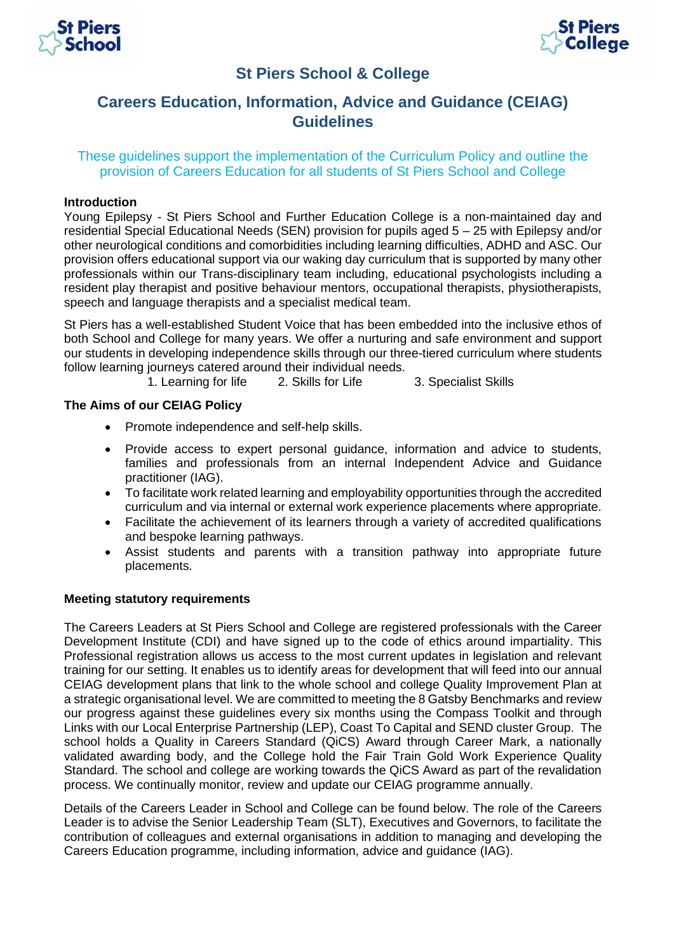



# **St Piers School & College**

# **Careers Education, Information, Advice and Guidance (CEIAG) Guidelines**

These guidelines support the implementation of the Curriculum Policy and outline the provision of Careers Education for all students of St Piers School and College

### **Introduction**

Young Epilepsy - St Piers School and Further Education College is a non-maintained day and residential Special Educational Needs (SEN) provision for pupils aged 5 – 25 with Epilepsy and/or other neurological conditions and comorbidities including learning difficulties, ADHD and ASC. Our provision offers educational support via our waking day curriculum that is supported by many other professionals within our Trans-disciplinary team including, educational psychologists including a resident play therapist and positive behaviour mentors, occupational therapists, physiotherapists, speech and language therapists and a specialist medical team.

St Piers has a well-established Student Voice that has been embedded into the inclusive ethos of both School and College for many years. We offer a nurturing and safe environment and support our students in developing independence skills through our three-tiered curriculum where students follow learning journeys catered around their individual needs.

1. Learning for life 2. Skills for Life 3. Specialist Skills

#### **The Aims of our CEIAG Policy**

- Promote independence and self-help skills.
- Provide access to expert personal guidance, information and advice to students, families and professionals from an internal Independent Advice and Guidance practitioner (IAG).
- To facilitate work related learning and employability opportunities through the accredited curriculum and via internal or external work experience placements where appropriate.
- Facilitate the achievement of its learners through a variety of accredited qualifications and bespoke learning pathways.
- Assist students and parents with a transition pathway into appropriate future placements.

#### **Meeting statutory requirements**

The Careers Leaders at St Piers School and College are registered professionals with the Career Development Institute (CDI) and have signed up to the code of ethics around impartiality. This Professional registration allows us access to the most current updates in legislation and relevant training for our setting. It enables us to identify areas for development that will feed into our annual CEIAG development plans that link to the whole school and college Quality Improvement Plan at a strategic organisational level. We are committed to meeting the 8 Gatsby Benchmarks and review our progress against these guidelines every six months using the Compass Toolkit and through Links with our Local Enterprise Partnership (LEP), Coast To Capital and SEND cluster Group. The school holds a Quality in Careers Standard (QiCS) Award through Career Mark, a nationally validated awarding body, and the College hold the Fair Train Gold Work Experience Quality Standard. The school and college are working towards the QiCS Award as part of the revalidation process. We continually monitor, review and update our CEIAG programme annually.

Details of the Careers Leader in School and College can be found below. The role of the Careers Leader is to advise the Senior Leadership Team (SLT), Executives and Governors, to facilitate the contribution of colleagues and external organisations in addition to managing and developing the Careers Education programme, including information, advice and guidance (IAG).